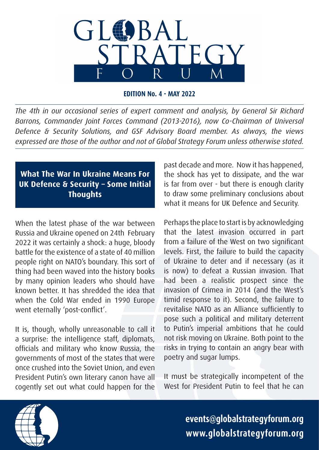

**EDITION No. 4 - MAY 2022**

*The 4th in our occasional series of expert comment and analysis, by General Sir Richard Barrons, Commander Joint Forces Command (2013-2016), now Co-Chairman of Universal Defence & Security Solutions, and GSF Advisory Board member. As always, the views expressed are those of the author and not of Global Strategy Forum unless otherwise stated.*

## **What The War In Ukraine Means For UK Defence & Security – Some Initial Thoughts**

When the latest phase of the war between Russia and Ukraine opened on 24th February 2022 it was certainly a shock: a huge, bloody battle for the existence of a state of 40 million people right on NATO's boundary. This sort of thing had been waved into the history books by many opinion leaders who should have known better. It has shredded the idea that when the Cold War ended in 1990 Europe went eternally 'post-conflict'.

It is, though, wholly unreasonable to call it a surprise: the intelligence staff, diplomats, officials and military who know Russia, the governments of most of the states that were once crushed into the Soviet Union, and even President Putin's own literary canon have all cogently set out what could happen for the

past decade and more. Now it has happened, the shock has yet to dissipate, and the war is far from over - but there is enough clarity to draw some preliminary conclusions about what it means for UK Defence and Security.

Perhaps the place to start is by acknowledging that the latest invasion occurred in part from a failure of the West on two significant levels. First, the failure to build the capacity of Ukraine to deter and if necessary (as it is now) to defeat a Russian invasion. That had been a realistic prospect since the invasion of Crimea in 2014 (and the West's timid response to it). Second, the failure to revitalise NATO as an Alliance sufficiently to pose such a political and military deterrent to Putin's imperial ambitions that he could not risk moving on Ukraine. Both point to the risks in trying to contain an angry bear with poetry and sugar lumps.

It must be strategically incompetent of the West for President Putin to feel that he can

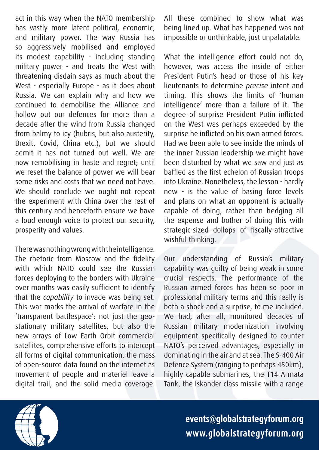act in this way when the NATO membership has vastly more latent political, economic, and military power. The way Russia has so aggressively mobilised and employed its modest capability - including standing military power - and treats the West with threatening disdain says as much about the West - especially Europe - as it does about Russia. We can explain why and how we continued to demobilise the Alliance and hollow out our defences for more than a decade after the wind from Russia changed from balmy to icy (hubris, but also austerity, Brexit, Covid, China etc.), but we should admit it has not turned out well. We are now remobilising in haste and regret; until we reset the balance of power we will bear some risks and costs that we need not have. We should conclude we ought not repeat the experiment with China over the rest of this century and henceforth ensure we have a loud enough voice to protect our security, prosperity and values.

There was nothing wrong with the intelligence. The rhetoric from Moscow and the fidelity with which NATO could see the Russian forces deploying to the borders with Ukraine over months was easily sufficient to identify that the *capability* to invade was being set. This war marks the arrival of warfare in the 'transparent battlespace': not just the geostationary military satellites, but also the new arrays of Low Earth Orbit commercial satellites, comprehensive efforts to intercept all forms of digital communication, the mass of open-source data found on the internet as movement of people and materiel leave a digital trail, and the solid media coverage.

All these combined to show what was being lined up. What has happened was not impossible or unthinkable, just unpalatable.

What the intelligence effort could not do, however, was access the inside of either President Putin's head or those of his key lieutenants to determine *precise* intent and timing. This shows the limits of 'human intelligence' more than a failure of it. The degree of surprise President Putin inflicted on the West was perhaps exceeded by the surprise he inflicted on his own armed forces. Had we been able to see inside the minds of the inner Russian leadership we might have been disturbed by what we saw and just as baffled as the first echelon of Russian troops into Ukraine. Nonetheless, the lesson - hardly new - is the value of basing force levels and plans on what an opponent is actually capable of doing, rather than hedging all the expense and bother of doing this with strategic-sized dollops of fiscally-attractive wishful thinking.

Our understanding of Russia's military capability was guilty of being weak in some crucial respects. The performance of the Russian armed forces has been so poor in professional military terms and this really is both a shock and a surprise, to me included. We had, after all, monitored decades of Russian military modernization involving equipment specifically designed to counter NATO's perceived advantages, especially in dominating in the air and at sea. The S-400 Air Defence System (ranging to perhaps 450km), highly capable submarines, the T14 Armata Tank, the Iskander class missile with a range

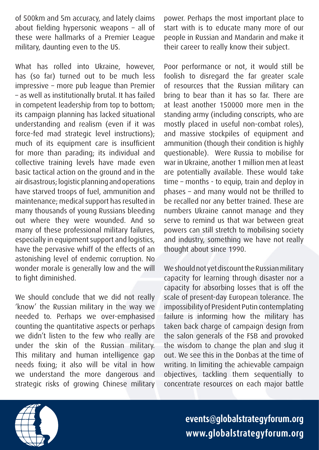of 500km and 5m accuracy, and lately claims about fielding hypersonic weapons – all of these were hallmarks of a Premier League military, daunting even to the US.

What has rolled into Ukraine, however, has (so far) turned out to be much less impressive – more pub league than Premier – as well as institutionally brutal. It has failed in competent leadership from top to bottom; its campaign planning has lacked situational understanding and realism (even if it was force-fed mad strategic level instructions); much of its equipment care is insufficient for more than parading; its individual and collective training levels have made even basic tactical action on the ground and in the air disastrous; logistic planning and operations have starved troops of fuel, ammunition and maintenance; medical support has resulted in many thousands of young Russians bleeding out where they were wounded. And so many of these professional military failures, especially in equipment support and logistics, have the pervasive whiff of the effects of an astonishing level of endemic corruption. No wonder morale is generally low and the will to fight diminished.

We should conclude that we did not really 'know' the Russian military in the way we needed to. Perhaps we over-emphasised counting the quantitative aspects or perhaps we didn't listen to the few who really are under the skin of the Russian military. This military and human intelligence gap needs fixing; it also will be vital in how we understand the more dangerous and strategic risks of growing Chinese military power. Perhaps the most important place to start with is to educate many more of our people in Russian and Mandarin and make it their career to really know their subject.

Poor performance or not, it would still be foolish to disregard the far greater scale of resources that the Russian military can bring to bear than it has so far. There are at least another 150000 more men in the standing army (including conscripts, who are mostly placed in useful non-combat roles), and massive stockpiles of equipment and ammunition (though their condition is highly questionable). Were Russia to mobilise for war in Ukraine, another 1 million men at least are potentially available. These would take time – months - to equip, train and deploy in phases – and many would not be thrilled to be recalled nor any better trained. These are numbers Ukraine cannot manage and they serve to remind us that war between great powers can still stretch to mobilising society and industry, something we have not really thought about since 1990.

We should not yet discount the Russian military capacity for learning through disaster nor a capacity for absorbing losses that is off the scale of present-day European tolerance. The impossibility of President Putin contemplating failure is informing how the military has taken back charge of campaign design from the salon generals of the FSB and provoked the wisdom to change the plan and slug it out. We see this in the Donbas at the time of writing. In limiting the achievable campaign objectives, tackling them sequentially to concentrate resources on each major battle

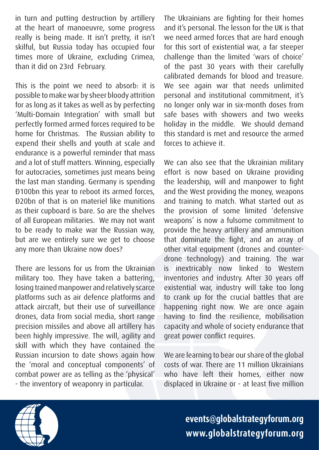in turn and putting destruction by artillery at the heart of manoeuvre, some progress really is being made. It isn't pretty, it isn't skilful, but Russia today has occupied four times more of Ukraine, excluding Crimea, than it did on 23rd February.

This is the point we need to absorb: it is possible to make war by sheer bloody attrition for as long as it takes as well as by perfecting 'Multi-Domain Integration' with small but perfectly formed armed forces required to be home for Christmas. The Russian ability to expend their shells and youth at scale and endurance is a powerful reminder that mass and a lot of stuff matters. Winning, especially for autocracies, sometimes just means being the last man standing. Germany is spending €100bn this year to reboot its armed forces, €20bn of that is on materiel like munitions as their cupboard is bare. So are the shelves of all European militaries. We may not want to be ready to make war the Russian way, but are we entirely sure we get to choose any more than Ukraine now does?

There are lessons for us from the Ukrainian military too. They have taken a battering, losing trained manpower and relatively scarce platforms such as air defence platforms and attack aircraft, but their use of surveillance drones, data from social media, short range precision missiles and above all artillery has been highly impressive. The will, agility and skill with which they have contained the Russian incursion to date shows again how the 'moral and conceptual components' of combat power are as telling as the 'physical' - the inventory of weaponry in particular.

The Ukrainians are fighting for their homes and it's personal. The lesson for the UK is that we need armed forces that are hard enough for this sort of existential war, a far steeper challenge than the limited 'wars of choice' of the past 30 years with their carefully calibrated demands for blood and treasure. We see again war that needs unlimited personal and institutional commitment, it's no longer only war in six-month doses from safe bases with showers and two weeks holiday in the middle. We should demand this standard is met and resource the armed forces to achieve it.

We can also see that the Ukrainian military effort is now based on Ukraine providing the leadership, will and manpower to fight and the West providing the money, weapons and training to match. What started out as the provision of some limited 'defensive weapons' is now a fulsome commitment to provide the heavy artillery and ammunition that dominate the fight, and an array of other vital equipment (drones and counterdrone technology) and training. The war is inextricably now linked to Western inventories and industry. After 30 years off existential war, industry will take too long to crank up for the crucial battles that are happening right now. We are once again having to find the resilience, mobilisation capacity and whole of society endurance that great power conflict requires.

We are learning to bear our share of the global costs of war. There are 11 million Ukrainians who have left their homes, either now displaced in Ukraine or - at least five million

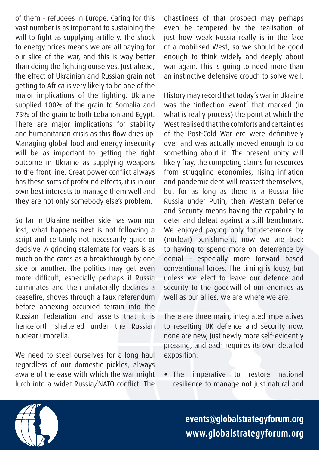of them - refugees in Europe. Caring for this vast number is as important to sustaining the will to fight as supplying artillery. The shock to energy prices means we are all paying for our slice of the war, and this is way better than doing the fighting ourselves. Just ahead, the effect of Ukrainian and Russian grain not getting to Africa is very likely to be one of the major implications of the fighting. Ukraine supplied 100% of the grain to Somalia and 75% of the grain to both Lebanon and Egypt. There are major implications for stability and humanitarian crisis as this flow dries up. Managing global food and energy insecurity will be as important to getting the right outcome in Ukraine as supplying weapons to the front line. Great power conflict always has these sorts of profound effects, it is in our own best interests to manage them well and they are not only somebody else's problem.

So far in Ukraine neither side has won nor lost, what happens next is not following a script and certainly not necessarily quick or decisive. A grinding stalemate for years is as much on the cards as a breakthrough by one side or another. The politics may get even more difficult, especially perhaps if Russia culminates and then unilaterally declares a ceasefire, shoves through a faux referendum before annexing occupied terrain into the Russian Federation and asserts that it is henceforth sheltered under the Russian nuclear umbrella.

We need to steel ourselves for a long haul regardless of our domestic pickles, always aware of the ease with which the war might lurch into a wider Russia/NATO conflict. The ghastliness of that prospect may perhaps even be tempered by the realisation of just how weak Russia really is in the face of a mobilised West, so we should be good enough to think widely and deeply about war again. This is going to need more than an instinctive defensive crouch to solve well.

History may record that today's war in Ukraine was the 'inflection event' that marked (in what is really process) the point at which the West realised that the comforts and certainties of the Post-Cold War ere were definitively over and was actually moved enough to do something about it. The present unity will likely fray, the competing claims for resources from struggling economies, rising inflation and pandemic debt will reassert themselves, but for as long as there is a Russia like Russia under Putin, then Western Defence and Security means having the capability to deter and defeat against a stiff benchmark. We enjoyed paying only for deterrence by (nuclear) punishment, now we are back to having to spend more on deterrence by denial – especially more forward based conventional forces. The timing is lousy, but unless we elect to leave our defence and security to the goodwill of our enemies as well as our allies, we are where we are.

There are three main, integrated imperatives to resetting UK defence and security now, none are new, just newly more self-evidently pressing, and each requires its own detailed exposition:

• The imperative to restore national resilience to manage not just natural and